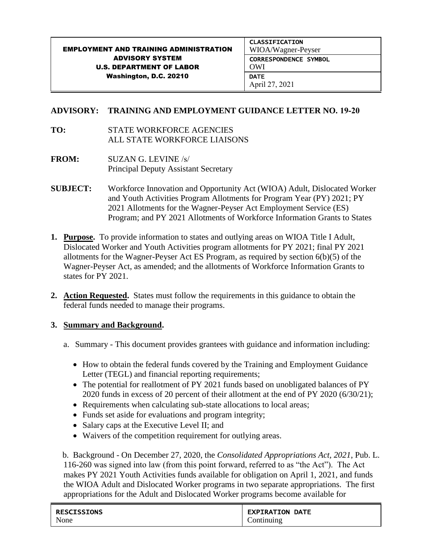#### EMPLOYMENT AND TRAINING ADMINISTRATION ADVISORY SYSTEM U.S. DEPARTMENT OF LABOR Washington, D.C. 20210 CLASSIFICATION WIOA/Wagner-Peyser CORRESPONDENCE SYMBOL OWI **DATE** April 27, 2021

## **ADVISORY: TRAINING AND EMPLOYMENT GUIDANCE LETTER NO. 19-20**

- **TO:** STATE WORKFORCE AGENCIES ALL STATE WORKFORCE LIAISONS
- **FROM:** SUZAN G. LEVINE /s/ Principal Deputy Assistant Secretary
- **SUBJECT:** Workforce Innovation and Opportunity Act (WIOA) Adult, Dislocated Worker and Youth Activities Program Allotments for Program Year (PY) 2021; PY 2021 Allotments for the Wagner-Peyser Act Employment Service (ES) Program; and PY 2021 Allotments of Workforce Information Grants to States
- **1. Purpose.** To provide information to states and outlying areas on WIOA Title I Adult, Dislocated Worker and Youth Activities program allotments for PY 2021; final PY 2021 allotments for the Wagner-Peyser Act ES Program, as required by section 6(b)(5) of the Wagner-Peyser Act, as amended; and the allotments of Workforce Information Grants to states for PY 2021.
- **2. Action Requested.** States must follow the requirements in this guidance to obtain the federal funds needed to manage their programs.

### **3. Summary and Background.**

- a. Summary This document provides grantees with guidance and information including:
	- How to obtain the federal funds covered by the Training and Employment Guidance Letter (TEGL) and financial reporting requirements;
	- The potential for reallotment of PY 2021 funds based on unobligated balances of PY 2020 funds in excess of 20 percent of their allotment at the end of PY 2020 (6/30/21);
	- Requirements when calculating sub-state allocations to local areas;
	- Funds set aside for evaluations and program integrity;
	- Salary caps at the Executive Level II; and
	- Waivers of the competition requirement for outlying areas.

b. Background - On December 27, 2020, the *Consolidated Appropriations Act, 2021*, Pub. L. 116-260 was signed into law (from this point forward, referred to as "the Act"). The Act makes PY 2021 Youth Activities funds available for obligation on April 1, 2021, and funds the WIOA Adult and Dislocated Worker programs in two separate appropriations. The first appropriations for the Adult and Dislocated Worker programs become available for

| <b>RESCISSIONS</b> | <b>EXPIRATION DATE</b> |
|--------------------|------------------------|
| None               | Continuing             |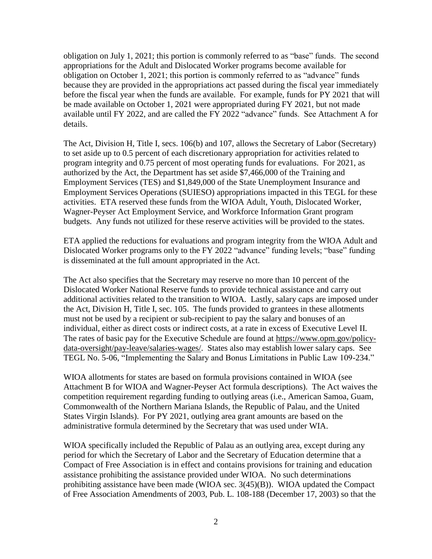obligation on July 1, 2021; this portion is commonly referred to as "base" funds. The second appropriations for the Adult and Dislocated Worker programs become available for obligation on October 1, 2021; this portion is commonly referred to as "advance" funds because they are provided in the appropriations act passed during the fiscal year immediately before the fiscal year when the funds are available. For example, funds for PY 2021 that will be made available on October 1, 2021 were appropriated during FY 2021, but not made available until FY 2022, and are called the FY 2022 "advance" funds. See Attachment A for details.

The Act, Division H, Title I, secs. 106(b) and 107, allows the Secretary of Labor (Secretary) to set aside up to 0.5 percent of each discretionary appropriation for activities related to program integrity and 0.75 percent of most operating funds for evaluations. For 2021, as authorized by the Act, the Department has set aside \$7,466,000 of the Training and Employment Services (TES) and \$1,849,000 of the State Unemployment Insurance and Employment Services Operations (SUIESO) appropriations impacted in this TEGL for these activities. ETA reserved these funds from the WIOA Adult, Youth, Dislocated Worker, Wagner-Peyser Act Employment Service, and Workforce Information Grant program budgets. Any funds not utilized for these reserve activities will be provided to the states.

ETA applied the reductions for evaluations and program integrity from the WIOA Adult and Dislocated Worker programs only to the FY 2022 "advance" funding levels; "base" funding is disseminated at the full amount appropriated in the Act.

The Act also specifies that the Secretary may reserve no more than 10 percent of the Dislocated Worker National Reserve funds to provide technical assistance and carry out additional activities related to the transition to WIOA. Lastly, salary caps are imposed under the Act, Division H, Title I, sec. 105. The funds provided to grantees in these allotments must not be used by a recipient or sub-recipient to pay the salary and bonuses of an individual, either as direct costs or indirect costs, at a rate in excess of Executive Level II. The rates of basic pay for the Executive Schedule are found at [https://www.opm.gov/policy](https://www.opm.gov/policy-data-oversight/pay-leave/salaries-wages/)[data-oversight/pay-leave/salaries-wages/.](https://www.opm.gov/policy-data-oversight/pay-leave/salaries-wages/) States also may establish lower salary caps. See TEGL No. 5-06, "Implementing the Salary and Bonus Limitations in Public Law 109-234."

WIOA allotments for states are based on formula provisions contained in WIOA (see Attachment B for WIOA and Wagner-Peyser Act formula descriptions). The Act waives the competition requirement regarding funding to outlying areas (i.e., American Samoa, Guam, Commonwealth of the Northern Mariana Islands, the Republic of Palau, and the United States Virgin Islands). For PY 2021, outlying area grant amounts are based on the administrative formula determined by the Secretary that was used under WIA.

WIOA specifically included the Republic of Palau as an outlying area, except during any period for which the Secretary of Labor and the Secretary of Education determine that a Compact of Free Association is in effect and contains provisions for training and education assistance prohibiting the assistance provided under WIOA. No such determinations prohibiting assistance have been made (WIOA sec. 3(45)(B)). WIOA updated the Compact of Free Association Amendments of 2003, Pub. L. 108-188 (December 17, 2003) so that the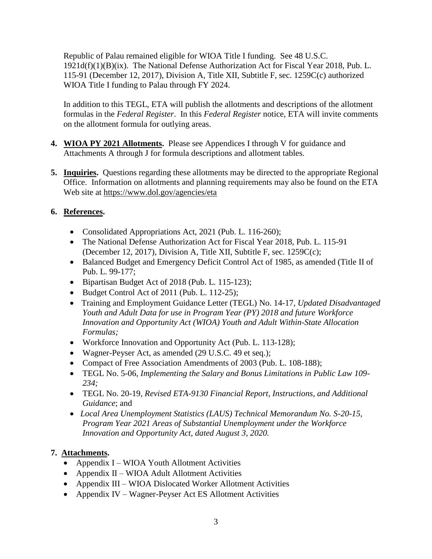Republic of Palau remained eligible for WIOA Title I funding. See 48 U.S.C. 1921d(f)(1)(B)(ix). The National Defense Authorization Act for Fiscal Year 2018, Pub. L. 115-91 (December 12, 2017), Division A, Title XII, Subtitle F, sec. 1259C(c) authorized WIOA Title I funding to Palau through FY 2024.

In addition to this TEGL, ETA will publish the allotments and descriptions of the allotment formulas in the *Federal Register*. In this *Federal Register* notice, ETA will invite comments on the allotment formula for outlying areas.

- **4. WIOA PY 2021 Allotments.** Please see Appendices I through V for guidance and Attachments A through J for formula descriptions and allotment tables.
- **5. Inquiries.** Questions regarding these allotments may be directed to the appropriate Regional Office. Information on allotments and planning requirements may also be found on the ETA Web site at <https://www.dol.gov/agencies/eta>

# **6. References.**

- Consolidated Appropriations Act, 2021 (Pub. L. 116-260);
- The National Defense Authorization Act for Fiscal Year 2018, Pub. L. 115-91 (December 12, 2017), Division A, Title XII, Subtitle F, sec. 1259C(c);
- Balanced Budget and Emergency Deficit Control Act of 1985, as amended (Title II of Pub. L. 99-177;
- Bipartisan Budget Act of 2018 (Pub. L. 115-123);
- Budget Control Act of 2011 (Pub. L. 112-25);
- Training and Employment Guidance Letter (TEGL) No. 14-17, *Updated Disadvantaged Youth and Adult Data for use in Program Year (PY) 2018 and future Workforce Innovation and Opportunity Act (WIOA) Youth and Adult Within-State Allocation Formulas;*
- Workforce Innovation and Opportunity Act (Pub. L. 113-128);
- Wagner-Peyser Act, as amended (29 U.S.C. 49 et seq.);
- Compact of Free Association Amendments of 2003 (Pub. L. 108-188);
- TEGL No. 5-06*, Implementing the Salary and Bonus Limitations in Public Law 109- 234;*
- TEGL No. 20-19, *Revised ETA-9130 Financial Report, Instructions, and Additional Guidance*; and
- *Local Area Unemployment Statistics (LAUS) Technical Memorandum No. S-20-15, Program Year 2021 Areas of Substantial Unemployment under the Workforce Innovation and Opportunity Act, dated August 3, 2020.*

# **7. Attachments.**

- Appendix I WIOA Youth Allotment Activities
- Appendix  $II WIOA$  Adult Allotment Activities
- Appendix III WIOA Dislocated Worker Allotment Activities
- Appendix IV Wagner-Peyser Act ES Allotment Activities